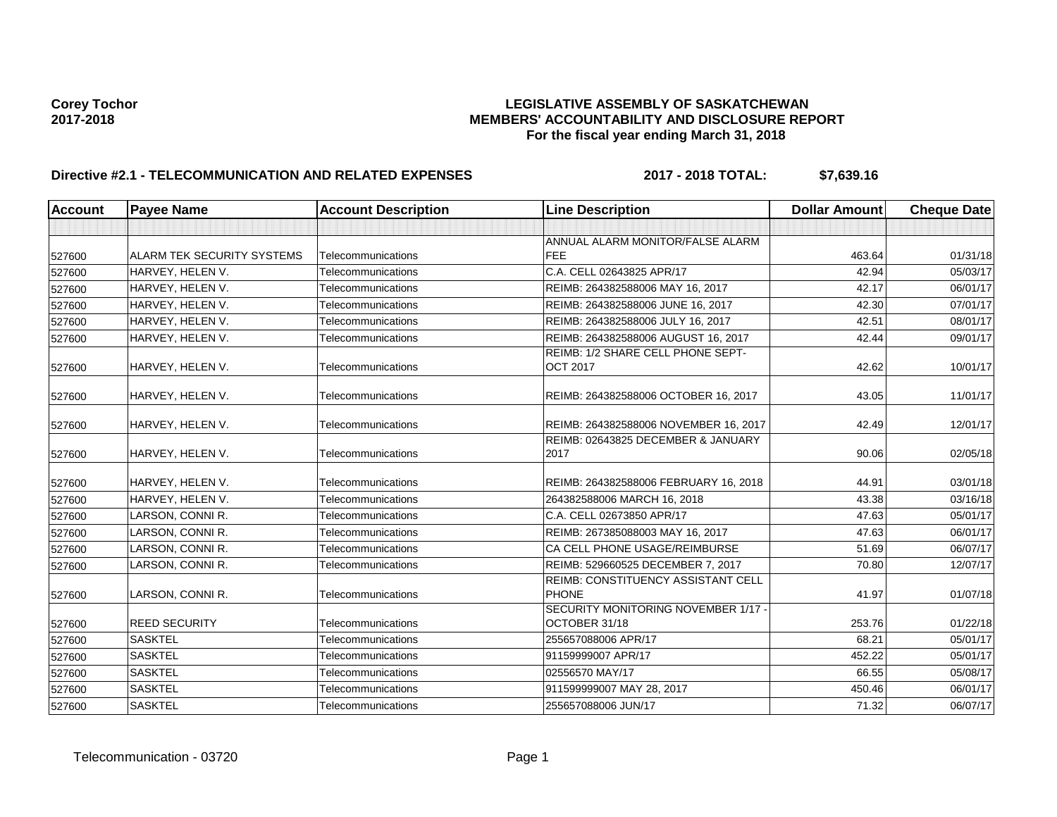# Corey Tochor<br>LEGISLATIVE ASSEMBLY OF SASKATCHEWAN<br>MEMBERS' ACCOUNTABILITY AND DISCLOSURE REF **2017-2018 MEMBERS' ACCOUNTABILITY AND DISCLOSURE REPORT For the fiscal year ending March 31, 2018**

# **Directive #2.1 - TELECOMMUNICATION AND RELATED EXPENSES 2017 - 2018 TOTAL: \$7,639.16**

| <b>Account</b> | <b>Payee Name</b>          | <b>Account Description</b> | <b>Line Description</b>                                   | <b>Dollar Amount</b> | <b>Cheque Date</b> |
|----------------|----------------------------|----------------------------|-----------------------------------------------------------|----------------------|--------------------|
|                |                            |                            |                                                           |                      |                    |
|                |                            |                            | ANNUAL ALARM MONITOR/FALSE ALARM                          |                      |                    |
| 527600         | ALARM TEK SECURITY SYSTEMS | Telecommunications         | <b>FEE</b>                                                | 463.64               | 01/31/18           |
| 527600         | HARVEY, HELEN V.           | Telecommunications         | C.A. CELL 02643825 APR/17                                 | 42.94                | 05/03/17           |
| 527600         | HARVEY, HELEN V.           | Telecommunications         | REIMB: 264382588006 MAY 16, 2017                          | 42.17                | 06/01/17           |
| 527600         | HARVEY, HELEN V.           | Telecommunications         | REIMB: 264382588006 JUNE 16, 2017                         | 42.30                | 07/01/17           |
| 527600         | HARVEY, HELEN V.           | Telecommunications         | REIMB: 264382588006 JULY 16, 2017                         | 42.51                | 08/01/17           |
| 527600         | HARVEY, HELEN V.           | Telecommunications         | REIMB: 264382588006 AUGUST 16, 2017                       | 42.44                | 09/01/17           |
| 527600         | HARVEY, HELEN V.           | Telecommunications         | REIMB: 1/2 SHARE CELL PHONE SEPT-<br><b>OCT 2017</b>      | 42.62                | 10/01/17           |
| 527600         | HARVEY, HELEN V.           | Telecommunications         | REIMB: 264382588006 OCTOBER 16, 2017                      | 43.05                | 11/01/17           |
| 527600         | HARVEY, HELEN V.           | Telecommunications         | REIMB: 264382588006 NOVEMBER 16, 2017                     | 42.49                | 12/01/17           |
| 527600         | HARVEY, HELEN V.           | Telecommunications         | REIMB: 02643825 DECEMBER & JANUARY<br>2017                | 90.06                | 02/05/18           |
| 527600         | HARVEY, HELEN V.           | Telecommunications         | REIMB: 264382588006 FEBRUARY 16, 2018                     | 44.91                | 03/01/18           |
| 527600         | HARVEY, HELEN V.           | Telecommunications         | 264382588006 MARCH 16, 2018                               | 43.38                | 03/16/18           |
| 527600         | LARSON, CONNI R.           | Telecommunications         | C.A. CELL 02673850 APR/17                                 | 47.63                | 05/01/17           |
| 527600         | LARSON, CONNI R.           | Telecommunications         | REIMB: 267385088003 MAY 16, 2017                          | 47.63                | 06/01/17           |
| 527600         | LARSON, CONNI R.           | Telecommunications         | CA CELL PHONE USAGE/REIMBURSE                             | 51.69                | 06/07/17           |
| 527600         | LARSON, CONNI R.           | Telecommunications         | REIMB: 529660525 DECEMBER 7, 2017                         | 70.80                | 12/07/17           |
| 527600         | LARSON, CONNI R.           | Telecommunications         | <b>REIMB: CONSTITUENCY ASSISTANT CELL</b><br><b>PHONE</b> | 41.97                | 01/07/18           |
| 527600         | <b>REED SECURITY</b>       | Telecommunications         | SECURITY MONITORING NOVEMBER 1/17 -<br>OCTOBER 31/18      | 253.76               | 01/22/18           |
| 527600         | <b>SASKTEL</b>             | Telecommunications         | 255657088006 APR/17                                       | 68.21                | 05/01/17           |
| 527600         | <b>SASKTEL</b>             | Telecommunications         | 91159999007 APR/17                                        | 452.22               | 05/01/17           |
| 527600         | <b>SASKTEL</b>             | Telecommunications         | 02556570 MAY/17                                           | 66.55                | 05/08/17           |
| 527600         | <b>SASKTEL</b>             | <b>Telecommunications</b>  | 911599999007 MAY 28, 2017                                 | 450.46               | 06/01/17           |
| 527600         | <b>SASKTEL</b>             | Telecommunications         | 255657088006 JUN/17                                       | 71.32                | 06/07/17           |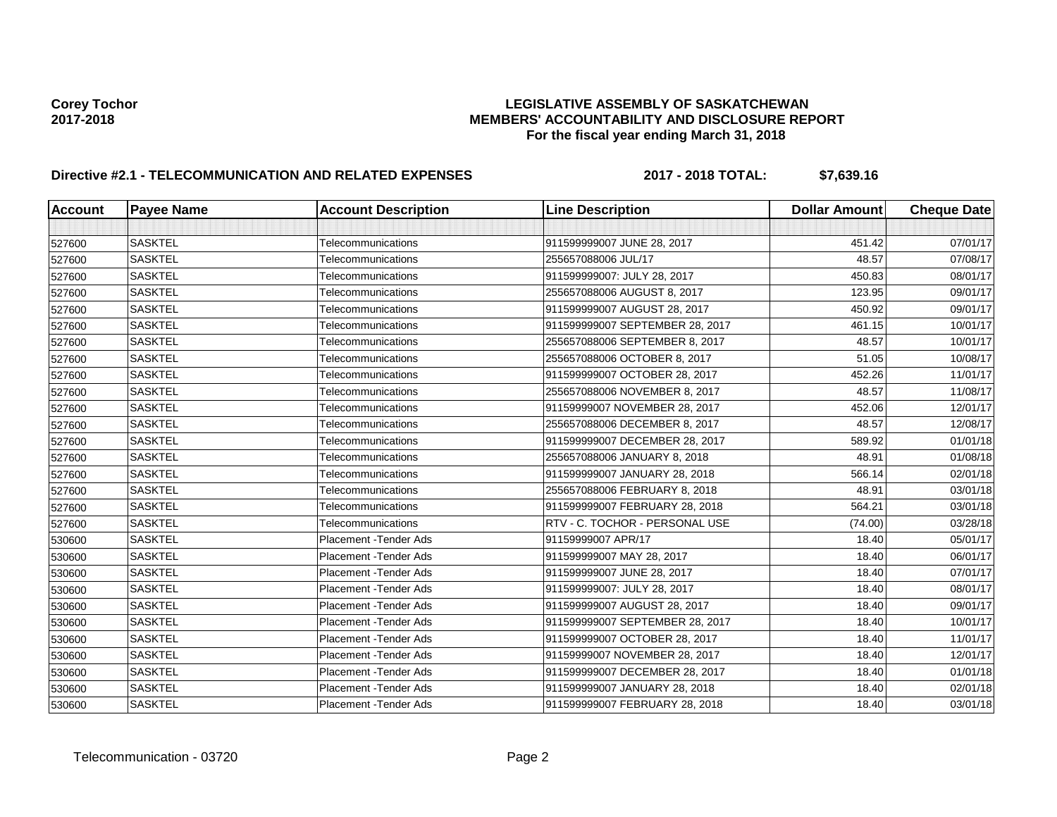# Corey Tochor<br>LEGISLATIVE ASSEMBLY OF SASKATCHEWAN<br>MEMBERS' ACCOUNTABILITY AND DISCLOSURE REF **2017-2018 MEMBERS' ACCOUNTABILITY AND DISCLOSURE REPORT For the fiscal year ending March 31, 2018**

# **Directive #2.1 - TELECOMMUNICATION AND RELATED EXPENSES 2017 - 2018 TOTAL: \$7,639.16**

| <b>Account</b> | <b>Payee Name</b> | <b>Account Description</b> | <b>Line Description</b>         | <b>Dollar Amount</b> | <b>Cheque Date</b> |
|----------------|-------------------|----------------------------|---------------------------------|----------------------|--------------------|
|                |                   |                            |                                 |                      |                    |
| 527600         | <b>SASKTEL</b>    | Telecommunications         | 911599999007 JUNE 28, 2017      | 451.42               | 07/01/17           |
| 527600         | <b>SASKTEL</b>    | Telecommunications         | 255657088006 JUL/17             | 48.57                | 07/08/17           |
| 527600         | <b>SASKTEL</b>    | Telecommunications         | 911599999007: JULY 28, 2017     | 450.83               | 08/01/17           |
| 527600         | <b>SASKTEL</b>    | Telecommunications         | 255657088006 AUGUST 8, 2017     | 123.95               | 09/01/17           |
| 527600         | <b>SASKTEL</b>    | Telecommunications         | 911599999007 AUGUST 28, 2017    | 450.92               | 09/01/17           |
| 527600         | <b>SASKTEL</b>    | Telecommunications         | 911599999007 SEPTEMBER 28, 2017 | 461.15               | 10/01/17           |
| 527600         | <b>SASKTEL</b>    | Telecommunications         | 255657088006 SEPTEMBER 8, 2017  | 48.57                | 10/01/17           |
| 527600         | <b>SASKTEL</b>    | Telecommunications         | 255657088006 OCTOBER 8, 2017    | 51.05                | 10/08/17           |
| 527600         | <b>SASKTEL</b>    | Telecommunications         | 911599999007 OCTOBER 28, 2017   | 452.26               | 11/01/17           |
| 527600         | <b>SASKTEL</b>    | Telecommunications         | 255657088006 NOVEMBER 8, 2017   | 48.57                | 11/08/17           |
| 527600         | <b>SASKTEL</b>    | Telecommunications         | 91159999007 NOVEMBER 28, 2017   | 452.06               | 12/01/17           |
| 527600         | <b>SASKTEL</b>    | Telecommunications         | 255657088006 DECEMBER 8, 2017   | 48.57                | 12/08/17           |
| 527600         | <b>SASKTEL</b>    | Telecommunications         | 911599999007 DECEMBER 28, 2017  | 589.92               | 01/01/18           |
| 527600         | <b>SASKTEL</b>    | Telecommunications         | 255657088006 JANUARY 8, 2018    | 48.91                | 01/08/18           |
| 527600         | <b>SASKTEL</b>    | Telecommunications         | 911599999007 JANUARY 28, 2018   | 566.14               | 02/01/18           |
| 527600         | <b>SASKTEL</b>    | Telecommunications         | 255657088006 FEBRUARY 8, 2018   | 48.91                | 03/01/18           |
| 527600         | <b>SASKTEL</b>    | Telecommunications         | 911599999007 FEBRUARY 28, 2018  | 564.21               | 03/01/18           |
| 527600         | <b>SASKTEL</b>    | Telecommunications         | RTV - C. TOCHOR - PERSONAL USE  | (74.00)              | 03/28/18           |
| 530600         | <b>SASKTEL</b>    | Placement - Tender Ads     | 91159999007 APR/17              | 18.40                | 05/01/17           |
| 530600         | <b>SASKTEL</b>    | Placement - Tender Ads     | 911599999007 MAY 28, 2017       | 18.40                | 06/01/17           |
| 530600         | <b>SASKTEL</b>    | Placement - Tender Ads     | 911599999007 JUNE 28, 2017      | 18.40                | 07/01/17           |
| 530600         | <b>SASKTEL</b>    | Placement - Tender Ads     | 911599999007: JULY 28, 2017     | 18.40                | 08/01/17           |
| 530600         | <b>SASKTEL</b>    | Placement - Tender Ads     | 911599999007 AUGUST 28, 2017    | 18.40                | 09/01/17           |
| 530600         | <b>SASKTEL</b>    | Placement - Tender Ads     | 911599999007 SEPTEMBER 28, 2017 | 18.40                | 10/01/17           |
| 530600         | <b>SASKTEL</b>    | Placement - Tender Ads     | 911599999007 OCTOBER 28, 2017   | 18.40                | 11/01/17           |
| 530600         | <b>SASKTEL</b>    | Placement - Tender Ads     | 91159999007 NOVEMBER 28, 2017   | 18.40                | 12/01/17           |
| 530600         | <b>SASKTEL</b>    | Placement - Tender Ads     | 911599999007 DECEMBER 28, 2017  | 18.40                | 01/01/18           |
| 530600         | <b>SASKTEL</b>    | Placement - Tender Ads     | 911599999007 JANUARY 28, 2018   | 18.40                | 02/01/18           |
| 530600         | <b>SASKTEL</b>    | Placement - Tender Ads     | 911599999007 FEBRUARY 28, 2018  | 18.40                | 03/01/18           |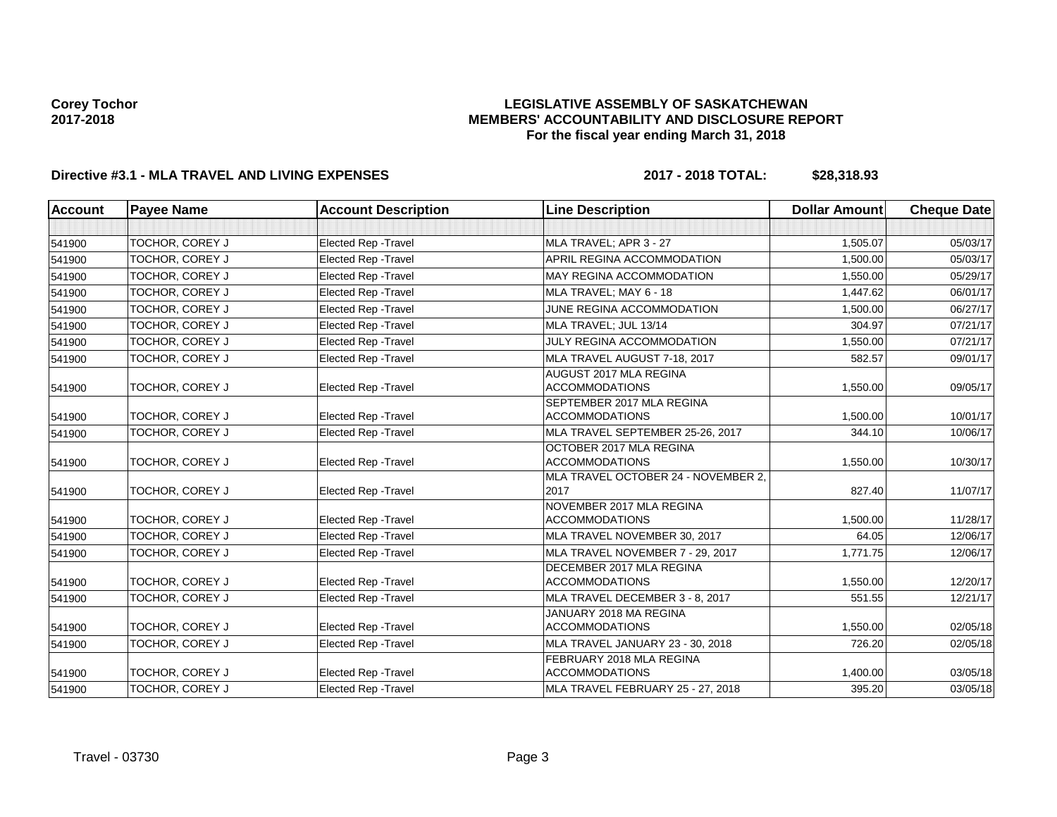### **LEGISLATIVE ASSEMBLY OF SASKATCHEWAN MEMBERS' ACCOUNTABILITY AND DISCLOSURE REPORT For the fiscal year ending March 31, 2018**

# **Directive #3.1 - MLA TRAVEL AND LIVING EXPENSES 2017 - 2018 TOTAL: \$28,318.93**

| <b>Account</b>            | <b>Payee Name</b>      | <b>Account Description</b>  | <b>Line Description</b>                            | <b>Dollar Amount</b> | <b>Cheque Date</b> |
|---------------------------|------------------------|-----------------------------|----------------------------------------------------|----------------------|--------------------|
|                           |                        |                             |                                                    |                      |                    |
| 541900                    | TOCHOR, COREY J        | <b>Elected Rep - Travel</b> | MLA TRAVEL: APR 3 - 27                             | 1,505.07             | 05/03/17           |
| 541900                    | TOCHOR, COREY J        | <b>Elected Rep - Travel</b> | APRIL REGINA ACCOMMODATION                         | 1,500.00             | 05/03/17           |
| 541900                    | TOCHOR, COREY J        | <b>Elected Rep - Travel</b> | MAY REGINA ACCOMMODATION                           | 1,550.00             | 05/29/17           |
| 541900                    | TOCHOR, COREY J        | <b>Elected Rep - Travel</b> | MLA TRAVEL: MAY 6 - 18                             | 1.447.62             | 06/01/17           |
| 541900<br>TOCHOR, COREY J |                        | <b>Elected Rep - Travel</b> | JUNE REGINA ACCOMMODATION                          | 1,500.00             | 06/27/17           |
| 541900                    | TOCHOR, COREY J        | <b>Elected Rep - Travel</b> | MLA TRAVEL: JUL 13/14                              | 304.97               | 07/21/17           |
| 541900                    | TOCHOR, COREY J        | <b>Elected Rep - Travel</b> | JULY REGINA ACCOMMODATION                          | 1,550.00             | 07/21/17           |
| 541900                    | TOCHOR, COREY J        | <b>Elected Rep - Travel</b> | MLA TRAVEL AUGUST 7-18, 2017                       | 582.57               | 09/01/17           |
| 541900                    | TOCHOR, COREY J        | <b>Elected Rep - Travel</b> | AUGUST 2017 MLA REGINA<br><b>ACCOMMODATIONS</b>    | 1,550.00             | 09/05/17           |
| 541900                    | <b>TOCHOR, COREY J</b> | <b>Elected Rep - Travel</b> | SEPTEMBER 2017 MLA REGINA<br><b>ACCOMMODATIONS</b> | 1.500.00             | 10/01/17           |
| 541900                    | TOCHOR, COREY J        | <b>Elected Rep - Travel</b> | MLA TRAVEL SEPTEMBER 25-26, 2017                   | 344.10               | 10/06/17           |
| 541900                    | TOCHOR, COREY J        | <b>Elected Rep - Travel</b> | OCTOBER 2017 MLA REGINA<br><b>ACCOMMODATIONS</b>   | 1,550.00             | 10/30/17           |
| 541900                    | TOCHOR, COREY J        | <b>Elected Rep - Travel</b> | MLA TRAVEL OCTOBER 24 - NOVEMBER 2.<br>2017        | 827.40               | 11/07/17           |
| 541900                    | TOCHOR, COREY J        | <b>Elected Rep - Travel</b> | NOVEMBER 2017 MLA REGINA<br><b>ACCOMMODATIONS</b>  | 1,500.00             | 11/28/17           |
| 541900                    | TOCHOR, COREY J        | Elected Rep - Travel        | MLA TRAVEL NOVEMBER 30, 2017                       | 64.05                | 12/06/17           |
| 541900                    | TOCHOR, COREY J        | <b>Elected Rep - Travel</b> | MLA TRAVEL NOVEMBER 7 - 29. 2017                   | 1.771.75             | 12/06/17           |
| 541900                    | TOCHOR, COREY J        | <b>Elected Rep - Travel</b> | DECEMBER 2017 MLA REGINA<br><b>ACCOMMODATIONS</b>  | 1.550.00             | 12/20/17           |
| 541900                    | TOCHOR, COREY J        | <b>Elected Rep - Travel</b> | MLA TRAVEL DECEMBER 3 - 8, 2017                    | 551.55               | 12/21/17           |
| 541900                    | TOCHOR, COREY J        | <b>Elected Rep - Travel</b> | JANUARY 2018 MA REGINA<br><b>ACCOMMODATIONS</b>    | 1,550.00             | 02/05/18           |
| 541900                    | TOCHOR, COREY J        | Elected Rep - Travel        | MLA TRAVEL JANUARY 23 - 30, 2018                   | 726.20               | 02/05/18           |
| 541900                    | TOCHOR, COREY J        | Elected Rep - Travel        | FEBRUARY 2018 MLA REGINA<br><b>ACCOMMODATIONS</b>  | 1,400.00             | 03/05/18           |
| 541900                    | TOCHOR, COREY J        | Elected Rep - Travel        | MLA TRAVEL FEBRUARY 25 - 27, 2018                  | 395.20               | 03/05/18           |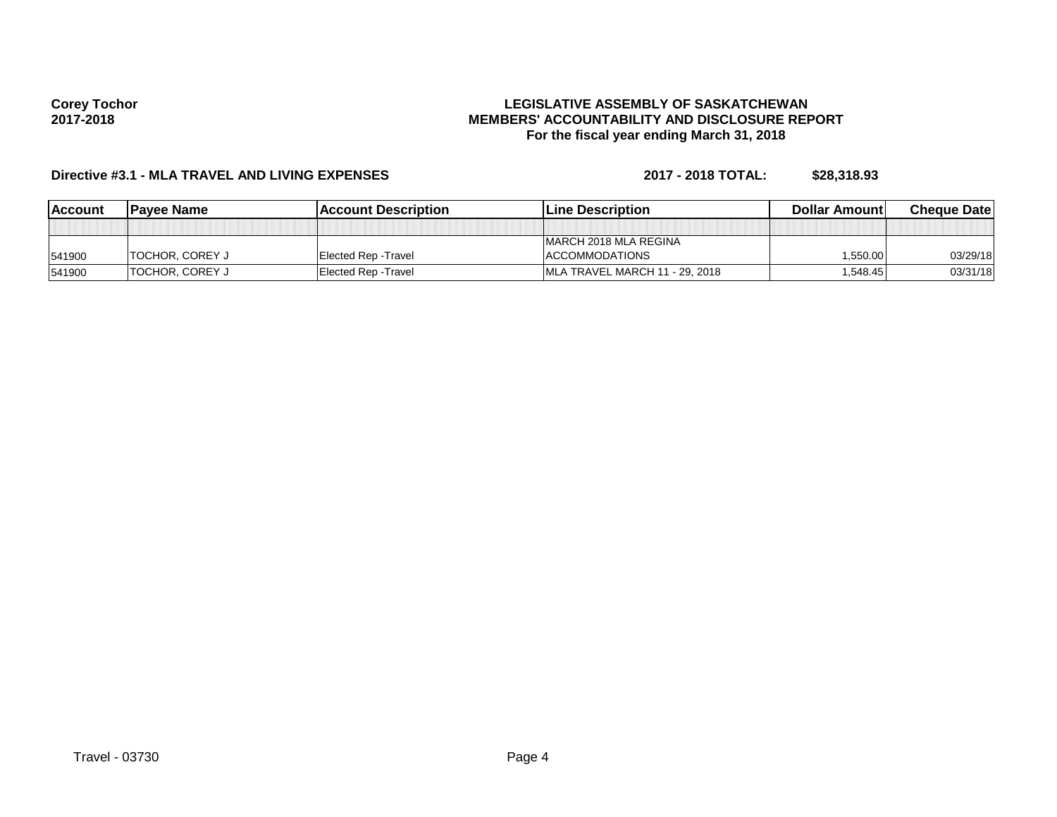#### **LEGISLATIVE ASSEMBLY OF SASKATCHEWAN MEMBERS' ACCOUNTABILITY AND DISCLOSURE REPORT For the fiscal year ending March 31, 2018**

# **Directive #3.1 - MLA TRAVEL AND LIVING EXPENSES 2017 - 2018 TOTAL: \$28,318.93**

| <b>Account</b> | <b>Pavee Name</b>       | <b>IAccount Description</b> | <b>ILine Description</b>       | <b>Dollar Amountl</b> | <b>Cheque Datel</b> |
|----------------|-------------------------|-----------------------------|--------------------------------|-----------------------|---------------------|
|                |                         |                             |                                |                       |                     |
|                |                         |                             | <b>IMARCH 2018 MLA REGINA</b>  |                       |                     |
| 541900         | <b>ITOCHOR, COREY J</b> | Elected Rep - Travel        | <b>ACCOMMODATIONS</b>          | 550.00. ا             | 03/29/18            |
| 541900         | <b>TOCHOR, COREY J</b>  | Elected Rep - Travel        | MLA TRAVEL MARCH 11 - 29, 2018 | ا548.45.              | 03/31/18            |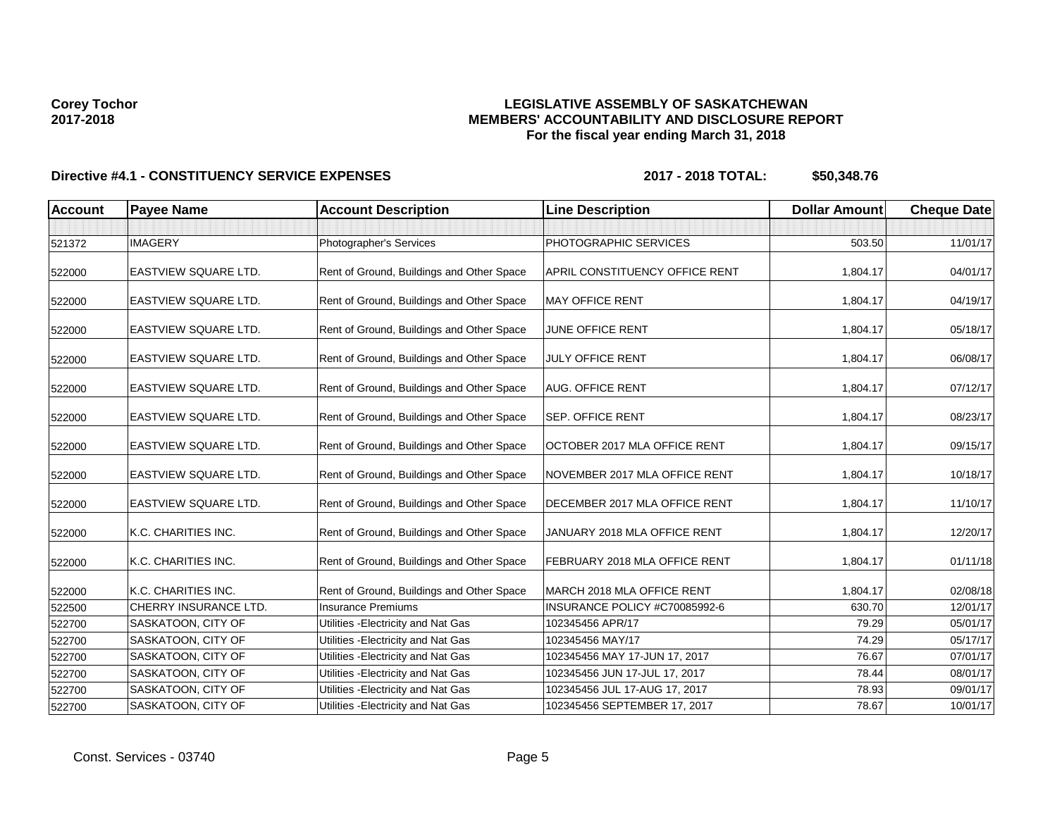### **LEGISLATIVE ASSEMBLY OF SASKATCHEWAN MEMBERS' ACCOUNTABILITY AND DISCLOSURE REPORT For the fiscal year ending March 31, 2018**

| <b>Account</b> | <b>Payee Name</b>           | <b>Account Description</b>                | <b>Line Description</b>               | <b>Dollar Amount</b> | <b>Cheque Date</b> |
|----------------|-----------------------------|-------------------------------------------|---------------------------------------|----------------------|--------------------|
|                |                             |                                           |                                       |                      |                    |
| 521372         | <b>IMAGERY</b>              | Photographer's Services                   | PHOTOGRAPHIC SERVICES                 | 503.50               | 11/01/17           |
| 522000         | <b>EASTVIEW SQUARE LTD.</b> | Rent of Ground, Buildings and Other Space | <b>APRIL CONSTITUENCY OFFICE RENT</b> | 1,804.17             | 04/01/17           |
| 522000         | <b>EASTVIEW SQUARE LTD.</b> | Rent of Ground, Buildings and Other Space | <b>MAY OFFICE RENT</b>                | 1,804.17             | 04/19/17           |
| 522000         | <b>EASTVIEW SQUARE LTD.</b> | Rent of Ground, Buildings and Other Space | JUNE OFFICE RENT                      | 1.804.17             | 05/18/17           |
| 522000         | <b>EASTVIEW SQUARE LTD.</b> | Rent of Ground, Buildings and Other Space | <b>JULY OFFICE RENT</b>               | 1,804.17             | 06/08/17           |
| 522000         | <b>EASTVIEW SQUARE LTD.</b> | Rent of Ground, Buildings and Other Space | <b>AUG. OFFICE RENT</b>               | 1,804.17             | 07/12/17           |
| 522000         | <b>EASTVIEW SQUARE LTD.</b> | Rent of Ground, Buildings and Other Space | <b>SEP. OFFICE RENT</b>               | 1,804.17             | 08/23/17           |
| 522000         | <b>EASTVIEW SQUARE LTD.</b> | Rent of Ground, Buildings and Other Space | OCTOBER 2017 MLA OFFICE RENT          | 1,804.17             | 09/15/17           |
| 522000         | EASTVIEW SQUARE LTD.        | Rent of Ground, Buildings and Other Space | NOVEMBER 2017 MLA OFFICE RENT         | 1,804.17             | 10/18/17           |
| 522000         | <b>EASTVIEW SQUARE LTD.</b> | Rent of Ground, Buildings and Other Space | <b>DECEMBER 2017 MLA OFFICE RENT</b>  | 1,804.17             | 11/10/17           |
| 522000         | K.C. CHARITIES INC.         | Rent of Ground, Buildings and Other Space | JANUARY 2018 MLA OFFICE RENT          | 1,804.17             | 12/20/17           |
| 522000         | K.C. CHARITIES INC.         | Rent of Ground, Buildings and Other Space | FEBRUARY 2018 MLA OFFICE RENT         | 1,804.17             | 01/11/18           |
| 522000         | K.C. CHARITIES INC.         | Rent of Ground, Buildings and Other Space | <b>IMARCH 2018 MLA OFFICE RENT</b>    | 1,804.17             | 02/08/18           |
| 522500         | CHERRY INSURANCE LTD.       | <b>Insurance Premiums</b>                 | INSURANCE POLICY #C70085992-6         | 630.70               | 12/01/17           |
| 522700         | <b>SASKATOON, CITY OF</b>   | Utilities - Electricity and Nat Gas       | 102345456 APR/17                      | 79.29                | 05/01/17           |
| 522700         | SASKATOON, CITY OF          | Utilities - Electricity and Nat Gas       | 102345456 MAY/17                      | 74.29                | 05/17/17           |
| 522700         | SASKATOON, CITY OF          | Utilities - Electricity and Nat Gas       | 102345456 MAY 17-JUN 17, 2017         | 76.67                | 07/01/17           |
| 522700         | SASKATOON, CITY OF          | Utilities - Electricity and Nat Gas       | 102345456 JUN 17-JUL 17, 2017         | 78.44                | 08/01/17           |
| 522700         | <b>SASKATOON, CITY OF</b>   | Utilities - Electricity and Nat Gas       | 102345456 JUL 17-AUG 17, 2017         | 78.93                | 09/01/17           |
| 522700         | SASKATOON, CITY OF          | Utilities - Electricity and Nat Gas       | 102345456 SEPTEMBER 17, 2017          | 78.67                | 10/01/17           |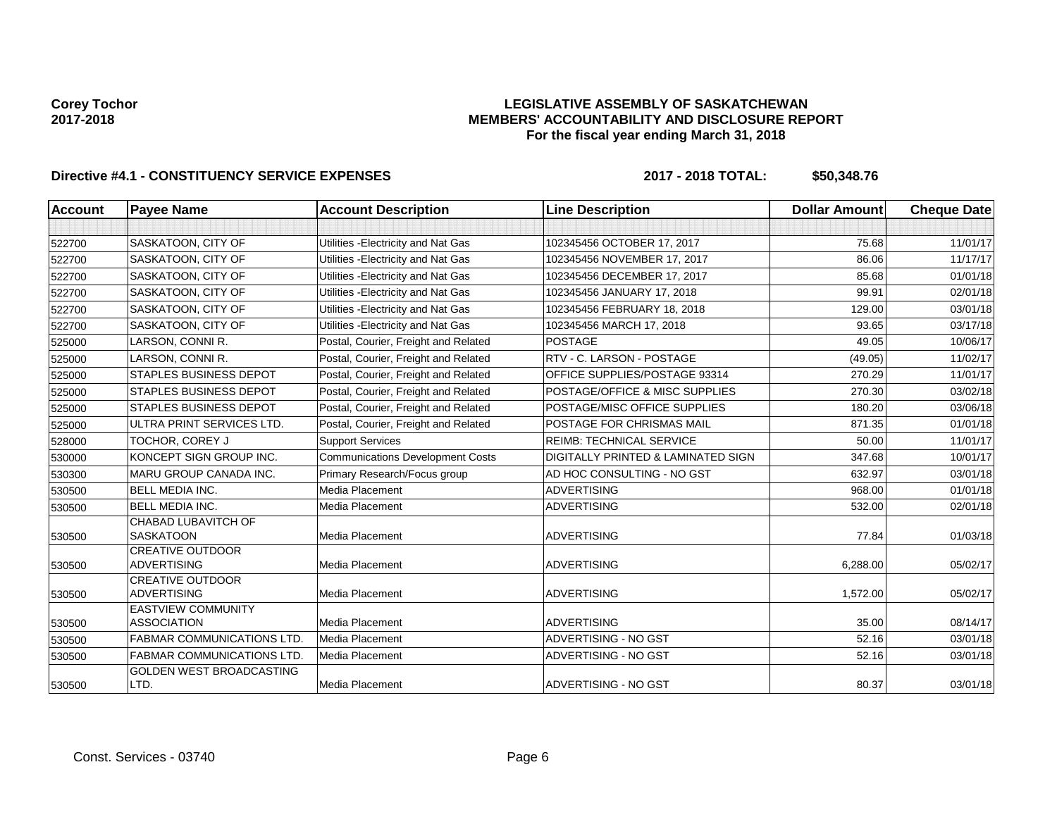### **LEGISLATIVE ASSEMBLY OF SASKATCHEWAN MEMBERS' ACCOUNTABILITY AND DISCLOSURE REPORT For the fiscal year ending March 31, 2018**

| <b>Account</b> | <b>Payee Name</b>                               | <b>Account Description</b>              | <b>Line Description</b>                       | <b>Dollar Amount</b> | <b>Cheque Date</b> |
|----------------|-------------------------------------------------|-----------------------------------------|-----------------------------------------------|----------------------|--------------------|
|                |                                                 |                                         |                                               |                      |                    |
| 522700         | SASKATOON, CITY OF                              | Utilities - Electricity and Nat Gas     | 102345456 OCTOBER 17, 2017                    | 75.68                | 11/01/17           |
| 522700         | SASKATOON, CITY OF                              | Utilities - Electricity and Nat Gas     | 102345456 NOVEMBER 17, 2017                   | 86.06                | 11/17/17           |
| 522700         | SASKATOON, CITY OF                              | Utilities - Electricity and Nat Gas     | 102345456 DECEMBER 17, 2017                   | 85.68                | 01/01/18           |
| 522700         | SASKATOON, CITY OF                              | Utilities - Electricity and Nat Gas     | 102345456 JANUARY 17, 2018                    | 99.91                | 02/01/18           |
| 522700         | SASKATOON, CITY OF                              | Utilities - Electricity and Nat Gas     | 102345456 FEBRUARY 18, 2018                   | 129.00               | 03/01/18           |
| 522700         | SASKATOON, CITY OF                              | Utilities - Electricity and Nat Gas     | 102345456 MARCH 17, 2018                      | 93.65                | 03/17/18           |
| 525000         | LARSON, CONNI R.                                | Postal, Courier, Freight and Related    | <b>POSTAGE</b>                                | 49.05                | 10/06/17           |
| 525000         | LARSON, CONNI R.                                | Postal, Courier, Freight and Related    | RTV - C. LARSON - POSTAGE                     | (49.05)              | 11/02/17           |
| 525000         | <b>STAPLES BUSINESS DEPOT</b>                   | Postal, Courier, Freight and Related    | OFFICE SUPPLIES/POSTAGE 93314                 | 270.29               | 11/01/17           |
| 525000         | <b>STAPLES BUSINESS DEPOT</b>                   | Postal, Courier, Freight and Related    | POSTAGE/OFFICE & MISC SUPPLIES                | 270.30               | 03/02/18           |
| 525000         | <b>STAPLES BUSINESS DEPOT</b>                   | Postal, Courier, Freight and Related    | POSTAGE/MISC OFFICE SUPPLIES                  | 180.20               | 03/06/18           |
| 525000         | ULTRA PRINT SERVICES LTD.                       | Postal, Courier, Freight and Related    | POSTAGE FOR CHRISMAS MAIL                     | 871.35               | 01/01/18           |
| 528000         | TOCHOR, COREY J                                 | <b>Support Services</b>                 | <b>REIMB: TECHNICAL SERVICE</b>               | 50.00                | 11/01/17           |
| 530000         | KONCEPT SIGN GROUP INC.                         | <b>Communications Development Costs</b> | <b>DIGITALLY PRINTED &amp; LAMINATED SIGN</b> | 347.68               | 10/01/17           |
| 530300         | MARU GROUP CANADA INC.                          | Primary Research/Focus group            | AD HOC CONSULTING - NO GST                    | 632.97               | 03/01/18           |
| 530500         | <b>BELL MEDIA INC.</b>                          | Media Placement                         | <b>ADVERTISING</b>                            | 968.00               | 01/01/18           |
| 530500         | <b>BELL MEDIA INC.</b>                          | Media Placement                         | <b>ADVERTISING</b>                            | 532.00               | 02/01/18           |
| 530500         | CHABAD LUBAVITCH OF<br><b>SASKATOON</b>         | Media Placement                         | <b>ADVERTISING</b>                            | 77.84                | 01/03/18           |
| 530500         | <b>CREATIVE OUTDOOR</b><br><b>ADVERTISING</b>   | Media Placement                         | <b>ADVERTISING</b>                            | 6,288.00             | 05/02/17           |
| 530500         | <b>CREATIVE OUTDOOR</b><br><b>ADVERTISING</b>   | Media Placement                         | <b>ADVERTISING</b>                            | 1,572.00             | 05/02/17           |
| 530500         | <b>EASTVIEW COMMUNITY</b><br><b>ASSOCIATION</b> | <b>Media Placement</b>                  | <b>ADVERTISING</b>                            | 35.00                | 08/14/17           |
| 530500         | <b>FABMAR COMMUNICATIONS LTD.</b>               | Media Placement                         | ADVERTISING - NO GST                          | 52.16                | 03/01/18           |
| 530500         | <b>FABMAR COMMUNICATIONS LTD.</b>               | Media Placement                         | ADVERTISING - NO GST                          | 52.16                | 03/01/18           |
| 530500         | GOLDEN WEST BROADCASTING<br>LTD.                | <b>Media Placement</b>                  | ADVERTISING - NO GST                          | 80.37                | 03/01/18           |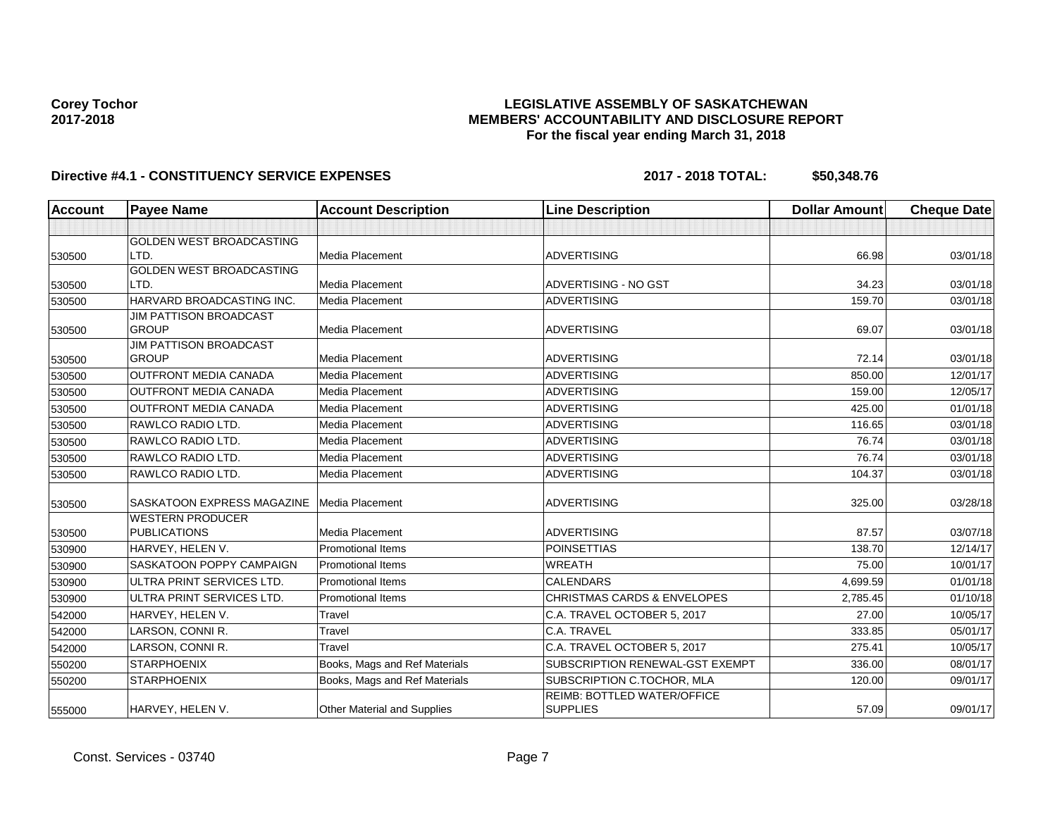### **LEGISLATIVE ASSEMBLY OF SASKATCHEWAN MEMBERS' ACCOUNTABILITY AND DISCLOSURE REPORT For the fiscal year ending March 31, 2018**

| Account | <b>Payee Name</b>                              | <b>Account Description</b>         | <b>Line Description</b>                        | <b>Dollar Amount</b> | <b>Cheque Date</b> |
|---------|------------------------------------------------|------------------------------------|------------------------------------------------|----------------------|--------------------|
|         |                                                |                                    |                                                |                      |                    |
|         | <b>GOLDEN WEST BROADCASTING</b>                |                                    |                                                |                      |                    |
| 530500  | LTD.                                           | Media Placement                    | <b>ADVERTISING</b>                             | 66.98                | 03/01/18           |
|         | GOLDEN WEST BROADCASTING                       |                                    |                                                |                      |                    |
| 530500  | LTD.                                           | Media Placement                    | ADVERTISING - NO GST                           | 34.23                | 03/01/18           |
| 530500  | HARVARD BROADCASTING INC.                      | Media Placement                    | <b>ADVERTISING</b>                             | 159.70               | 03/01/18           |
|         | <b>JIM PATTISON BROADCAST</b>                  |                                    |                                                |                      |                    |
| 530500  | <b>GROUP</b>                                   | Media Placement                    | <b>ADVERTISING</b>                             | 69.07                | 03/01/18           |
| 530500  | <b>JIM PATTISON BROADCAST</b><br><b>GROUP</b>  | Media Placement                    | <b>ADVERTISING</b>                             | 72.14                | 03/01/18           |
|         | <b>OUTFRONT MEDIA CANADA</b>                   | Media Placement                    | <b>ADVERTISING</b>                             | 850.00               | 12/01/17           |
| 530500  | <b>OUTFRONT MEDIA CANADA</b>                   |                                    |                                                |                      |                    |
| 530500  |                                                | Media Placement                    | <b>ADVERTISING</b>                             | 159.00               | 12/05/17           |
| 530500  | <b>OUTFRONT MEDIA CANADA</b>                   | Media Placement                    | <b>ADVERTISING</b>                             | 425.00               | 01/01/18           |
| 530500  | RAWLCO RADIO LTD.                              | Media Placement                    | <b>ADVERTISING</b>                             | 116.65               | 03/01/18           |
| 530500  | RAWLCO RADIO LTD.                              | Media Placement                    | <b>ADVERTISING</b>                             | 76.74                | 03/01/18           |
| 530500  | RAWLCO RADIO LTD.                              | Media Placement                    | <b>ADVERTISING</b>                             | 76.74                | 03/01/18           |
| 530500  | RAWLCO RADIO LTD.                              | Media Placement                    | <b>ADVERTISING</b>                             | 104.37               | 03/01/18           |
|         |                                                |                                    |                                                |                      |                    |
| 530500  | SASKATOON EXPRESS MAGAZINE                     | Media Placement                    | <b>ADVERTISING</b>                             | 325.00               | 03/28/18           |
| 530500  | <b>WESTERN PRODUCER</b><br><b>PUBLICATIONS</b> | Media Placement                    | <b>ADVERTISING</b>                             | 87.57                | 03/07/18           |
| 530900  | HARVEY, HELEN V.                               | <b>Promotional Items</b>           | <b>POINSETTIAS</b>                             | 138.70               | 12/14/17           |
| 530900  | <b>SASKATOON POPPY CAMPAIGN</b>                | <b>Promotional Items</b>           | <b>WREATH</b>                                  | 75.00                | 10/01/17           |
| 530900  | ULTRA PRINT SERVICES LTD.                      | <b>Promotional Items</b>           | <b>CALENDARS</b>                               | 4,699.59             | 01/01/18           |
| 530900  | ULTRA PRINT SERVICES LTD.                      | <b>Promotional Items</b>           | <b>CHRISTMAS CARDS &amp; ENVELOPES</b>         | 2,785.45             | 01/10/18           |
| 542000  | HARVEY, HELEN V.                               | Travel                             | C.A. TRAVEL OCTOBER 5, 2017                    | 27.00                | 10/05/17           |
| 542000  | LARSON, CONNI R.                               | Travel                             | C.A. TRAVEL                                    | 333.85               | 05/01/17           |
| 542000  | LARSON, CONNI R.                               | Travel                             | C.A. TRAVEL OCTOBER 5, 2017                    | 275.41               | 10/05/17           |
| 550200  | <b>STARPHOENIX</b>                             | Books, Mags and Ref Materials      | SUBSCRIPTION RENEWAL-GST EXEMPT                | 336.00               | 08/01/17           |
| 550200  | <b>STARPHOENIX</b>                             | Books, Mags and Ref Materials      | SUBSCRIPTION C.TOCHOR, MLA                     | 120.00               | 09/01/17           |
| 555000  | HARVEY, HELEN V.                               | <b>Other Material and Supplies</b> | REIMB: BOTTLED WATER/OFFICE<br><b>SUPPLIES</b> | 57.09                | 09/01/17           |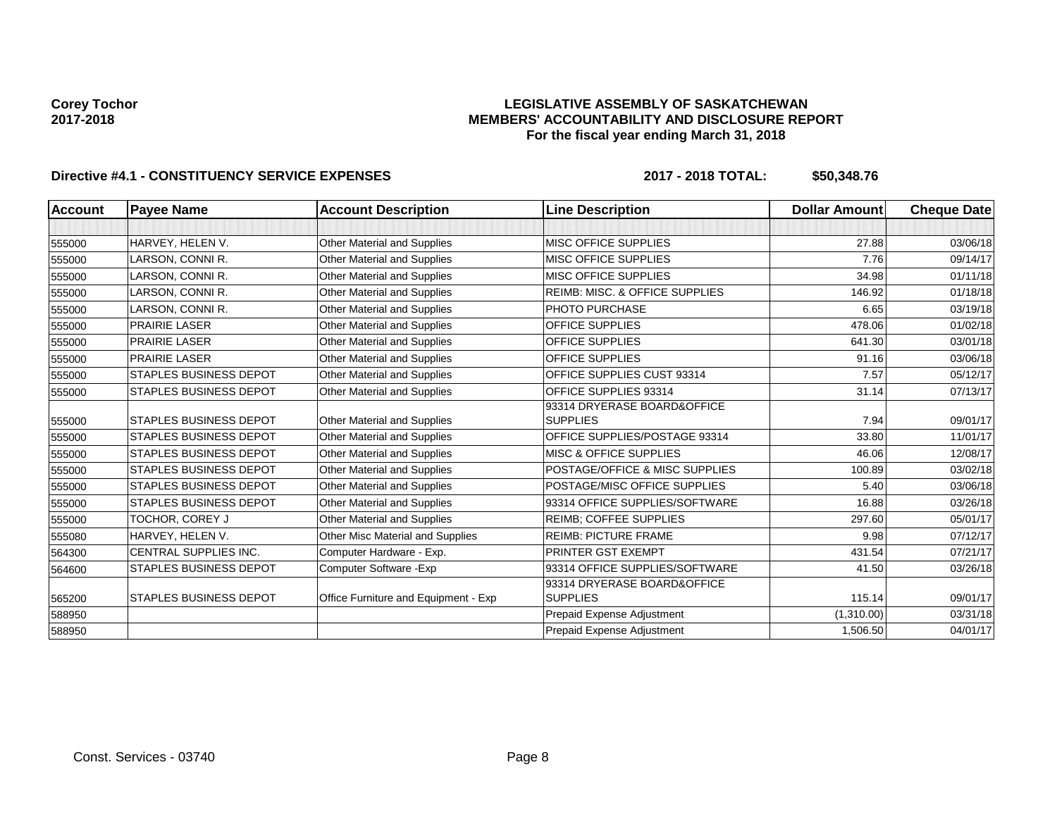### **LEGISLATIVE ASSEMBLY OF SASKATCHEWAN MEMBERS' ACCOUNTABILITY AND DISCLOSURE REPORT For the fiscal year ending March 31, 2018**

| <b>Account</b> | <b>Payee Name</b>             | <b>Account Description</b>           | <b>Line Description</b>           | <b>Dollar Amount</b> | <b>Cheque Date</b> |
|----------------|-------------------------------|--------------------------------------|-----------------------------------|----------------------|--------------------|
|                |                               |                                      |                                   |                      |                    |
| 555000         | HARVEY, HELEN V.              | <b>Other Material and Supplies</b>   | MISC OFFICE SUPPLIES              | 27.88                | 03/06/18           |
| 555000         | LARSON, CONNI R.              | Other Material and Supplies          | <b>MISC OFFICE SUPPLIES</b>       | 7.76                 | 09/14/17           |
| 555000         | LARSON, CONNI R.              | <b>Other Material and Supplies</b>   | <b>MISC OFFICE SUPPLIES</b>       | 34.98                | 01/11/18           |
| 555000         | LARSON, CONNI R.              | Other Material and Supplies          | REIMB: MISC. & OFFICE SUPPLIES    | 146.92               | 01/18/18           |
| 555000         | LARSON, CONNI R.              | <b>Other Material and Supplies</b>   | PHOTO PURCHASE                    | 6.65                 | 03/19/18           |
| 555000         | <b>PRAIRIE LASER</b>          | <b>Other Material and Supplies</b>   | <b>OFFICE SUPPLIES</b>            | 478.06               | 01/02/18           |
| 555000         | <b>PRAIRIE LASER</b>          | <b>Other Material and Supplies</b>   | <b>OFFICE SUPPLIES</b>            | 641.30               | 03/01/18           |
| 555000         | <b>PRAIRIE LASER</b>          | <b>Other Material and Supplies</b>   | <b>OFFICE SUPPLIES</b>            | 91.16                | 03/06/18           |
| 555000         | <b>STAPLES BUSINESS DEPOT</b> | <b>Other Material and Supplies</b>   | OFFICE SUPPLIES CUST 93314        | 7.57                 | 05/12/17           |
| 555000         | <b>STAPLES BUSINESS DEPOT</b> | <b>Other Material and Supplies</b>   | OFFICE SUPPLIES 93314             | 31.14                | 07/13/17           |
|                |                               |                                      | 93314 DRYERASE BOARD&OFFICE       |                      |                    |
| 555000         | <b>STAPLES BUSINESS DEPOT</b> | <b>Other Material and Supplies</b>   | <b>SUPPLIES</b>                   | 7.94                 | 09/01/17           |
| 555000         | <b>STAPLES BUSINESS DEPOT</b> | <b>Other Material and Supplies</b>   | OFFICE SUPPLIES/POSTAGE 93314     | 33.80                | 11/01/17           |
| 555000         | <b>STAPLES BUSINESS DEPOT</b> | <b>Other Material and Supplies</b>   | <b>MISC &amp; OFFICE SUPPLIES</b> | 46.06                | 12/08/17           |
| 555000         | <b>STAPLES BUSINESS DEPOT</b> | <b>Other Material and Supplies</b>   | POSTAGE/OFFICE & MISC SUPPLIES    | 100.89               | 03/02/18           |
| 555000         | <b>STAPLES BUSINESS DEPOT</b> | Other Material and Supplies          | POSTAGE/MISC OFFICE SUPPLIES      | 5.40                 | 03/06/18           |
| 555000         | <b>STAPLES BUSINESS DEPOT</b> | Other Material and Supplies          | 93314 OFFICE SUPPLIES/SOFTWARE    | 16.88                | 03/26/18           |
| 555000         | TOCHOR, COREY J               | Other Material and Supplies          | <b>REIMB: COFFEE SUPPLIES</b>     | 297.60               | 05/01/17           |
| 555080         | HARVEY, HELEN V.              | Other Misc Material and Supplies     | <b>REIMB: PICTURE FRAME</b>       | 9.98                 | 07/12/17           |
| 564300         | <b>CENTRAL SUPPLIES INC.</b>  | Computer Hardware - Exp.             | <b>PRINTER GST EXEMPT</b>         | 431.54               | 07/21/17           |
| 564600         | <b>STAPLES BUSINESS DEPOT</b> | Computer Software - Exp              | 93314 OFFICE SUPPLIES/SOFTWARE    | 41.50                | 03/26/18           |
|                |                               |                                      | 93314 DRYERASE BOARD&OFFICE       |                      |                    |
| 565200         | <b>STAPLES BUSINESS DEPOT</b> | Office Furniture and Equipment - Exp | SUPPLIES                          | 115.14               | 09/01/17           |
| 588950         |                               |                                      | Prepaid Expense Adjustment        | (1,310.00)           | 03/31/18           |
| 588950         |                               |                                      | <b>Prepaid Expense Adjustment</b> | 1,506.50             | 04/01/17           |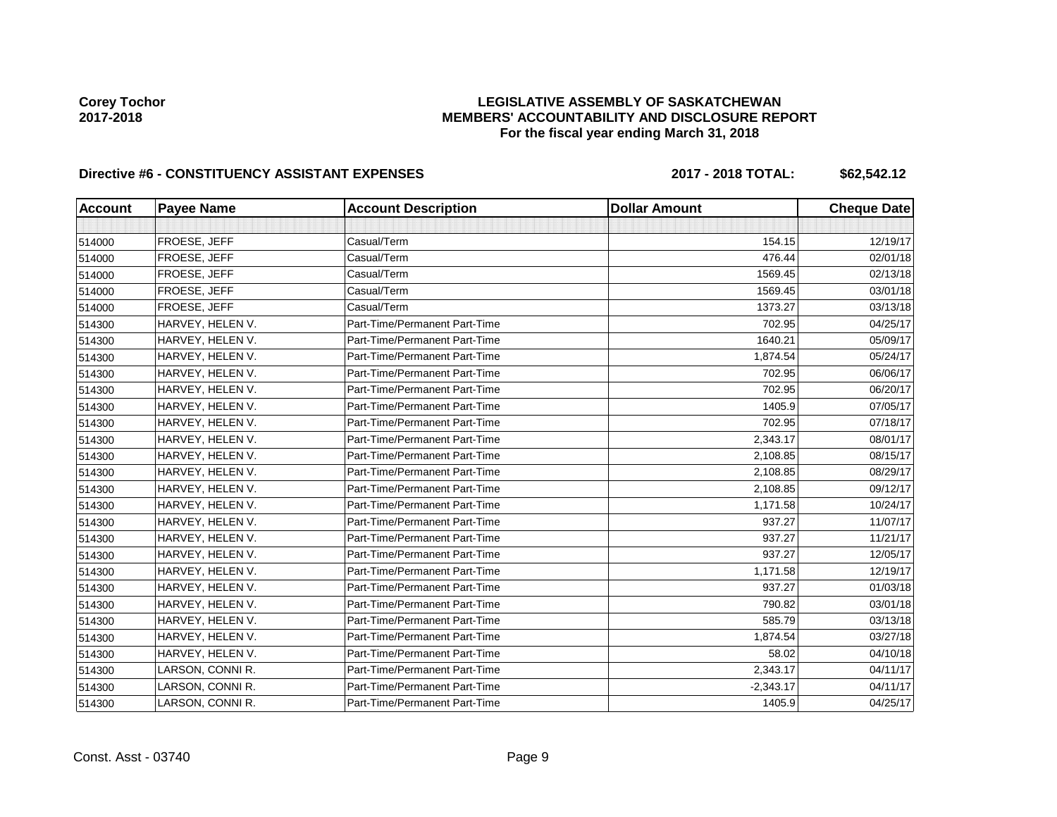# **LEGISLATIVE ASSEMBLY OF SASKATCHEWAN MEMBERS' ACCOUNTABILITY AND DISCLOSURE REPORT For the fiscal year ending March 31, 2018**

# Directive #6 - CONSTITUENCY ASSISTANT EXPENSES 2017 - 2018 TOTAL: \$62,542.12

| <b>Account</b> | <b>Payee Name</b> | <b>Account Description</b>    | <b>Dollar Amount</b> | <b>Cheque Date</b> |
|----------------|-------------------|-------------------------------|----------------------|--------------------|
|                |                   |                               |                      |                    |
| 514000         | FROESE, JEFF      | Casual/Term                   | 154.15               | 12/19/17           |
| 514000         | FROESE, JEFF      | Casual/Term                   | 476.44               | 02/01/18           |
| 514000         | FROESE, JEFF      | Casual/Term                   | 1569.45              | 02/13/18           |
| 514000         | FROESE, JEFF      | Casual/Term                   | 1569.45              | 03/01/18           |
| 514000         | FROESE, JEFF      | Casual/Term                   | 1373.27              | 03/13/18           |
| 514300         | HARVEY, HELEN V.  | Part-Time/Permanent Part-Time | 702.95               | 04/25/17           |
| 514300         | HARVEY, HELEN V.  | Part-Time/Permanent Part-Time | 1640.21              | 05/09/17           |
| 514300         | HARVEY, HELEN V.  | Part-Time/Permanent Part-Time | 1,874.54             | 05/24/17           |
| 514300         | HARVEY, HELEN V.  | Part-Time/Permanent Part-Time | 702.95               | 06/06/17           |
| 514300         | HARVEY, HELEN V.  | Part-Time/Permanent Part-Time | 702.95               | 06/20/17           |
| 514300         | HARVEY, HELEN V.  | Part-Time/Permanent Part-Time | 1405.9               | 07/05/17           |
| 514300         | HARVEY, HELEN V.  | Part-Time/Permanent Part-Time | 702.95               | 07/18/17           |
| 514300         | HARVEY, HELEN V.  | Part-Time/Permanent Part-Time | 2,343.17             | 08/01/17           |
| 514300         | HARVEY, HELEN V.  | Part-Time/Permanent Part-Time | 2,108.85             | 08/15/17           |
| 514300         | HARVEY, HELEN V.  | Part-Time/Permanent Part-Time | 2,108.85             | 08/29/17           |
| 514300         | HARVEY, HELEN V.  | Part-Time/Permanent Part-Time | 2,108.85             | 09/12/17           |
| 514300         | HARVEY, HELEN V.  | Part-Time/Permanent Part-Time | 1,171.58             | 10/24/17           |
| 514300         | HARVEY, HELEN V.  | Part-Time/Permanent Part-Time | 937.27               | 11/07/17           |
| 514300         | HARVEY, HELEN V.  | Part-Time/Permanent Part-Time | 937.27               | 11/21/17           |
| 514300         | HARVEY, HELEN V.  | Part-Time/Permanent Part-Time | 937.27               | 12/05/17           |
| 514300         | HARVEY, HELEN V.  | Part-Time/Permanent Part-Time | 1,171.58             | 12/19/17           |
| 514300         | HARVEY, HELEN V.  | Part-Time/Permanent Part-Time | 937.27               | 01/03/18           |
| 514300         | HARVEY, HELEN V.  | Part-Time/Permanent Part-Time | 790.82               | 03/01/18           |
| 514300         | HARVEY, HELEN V.  | Part-Time/Permanent Part-Time | 585.79               | 03/13/18           |
| 514300         | HARVEY, HELEN V.  | Part-Time/Permanent Part-Time | 1,874.54             | 03/27/18           |
| 514300         | HARVEY, HELEN V.  | Part-Time/Permanent Part-Time | 58.02                | 04/10/18           |
| 514300         | LARSON, CONNI R.  | Part-Time/Permanent Part-Time | 2,343.17             | 04/11/17           |
| 514300         | LARSON, CONNI R.  | Part-Time/Permanent Part-Time | $-2,343.17$          | 04/11/17           |
| 514300         | LARSON, CONNI R.  | Part-Time/Permanent Part-Time | 1405.9               | 04/25/17           |